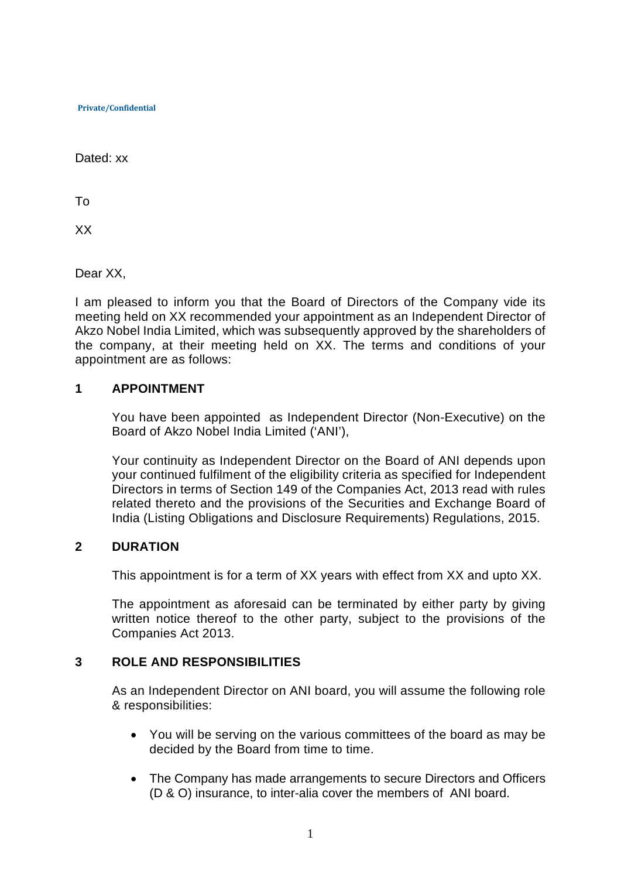Dated: xx

To

XX

Dear XX,

I am pleased to inform you that the Board of Directors of the Company vide its meeting held on XX recommended your appointment as an Independent Director of Akzo Nobel India Limited, which was subsequently approved by the shareholders of the company, at their meeting held on XX. The terms and conditions of your appointment are as follows:

## **1 APPOINTMENT**

You have been appointed as Independent Director (Non-Executive) on the Board of Akzo Nobel India Limited ('ANI'),

Your continuity as Independent Director on the Board of ANI depends upon your continued fulfilment of the eligibility criteria as specified for Independent Directors in terms of Section 149 of the Companies Act, 2013 read with rules related thereto and the provisions of the Securities and Exchange Board of India (Listing Obligations and Disclosure Requirements) Regulations, 2015.

# **2 DURATION**

This appointment is for a term of XX years with effect from XX and upto XX.

The appointment as aforesaid can be terminated by either party by giving written notice thereof to the other party, subject to the provisions of the Companies Act 2013.

# **3 ROLE AND RESPONSIBILITIES**

As an Independent Director on ANI board, you will assume the following role & responsibilities:

- You will be serving on the various committees of the board as may be decided by the Board from time to time.
- The Company has made arrangements to secure Directors and Officers (D & O) insurance, to inter-alia cover the members of ANI board.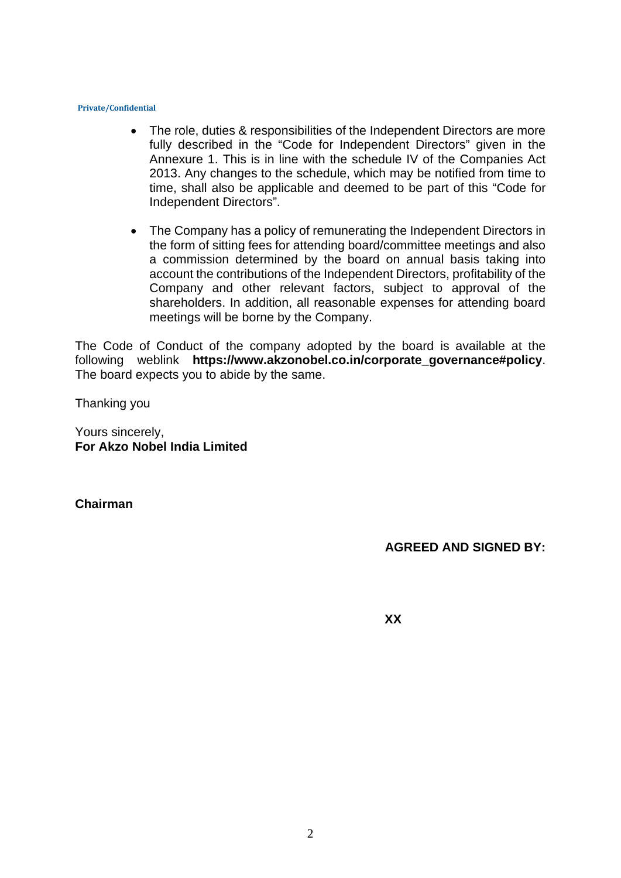- The role, duties & responsibilities of the Independent Directors are more fully described in the "Code for Independent Directors" given in the Annexure 1. This is in line with the schedule IV of the Companies Act 2013. Any changes to the schedule, which may be notified from time to time, shall also be applicable and deemed to be part of this "Code for Independent Directors".
- The Company has a policy of remunerating the Independent Directors in the form of sitting fees for attending board/committee meetings and also a commission determined by the board on annual basis taking into account the contributions of the Independent Directors, profitability of the Company and other relevant factors, subject to approval of the shareholders. In addition, all reasonable expenses for attending board meetings will be borne by the Company.

The Code of Conduct of the company adopted by the board is available at the following weblink **https://www.akzonobel.co.in/corporate\_governance#policy**. The board expects you to abide by the same.

Thanking you

Yours sincerely, **For Akzo Nobel India Limited**

**Chairman**

**AGREED AND SIGNED BY:**

**XX**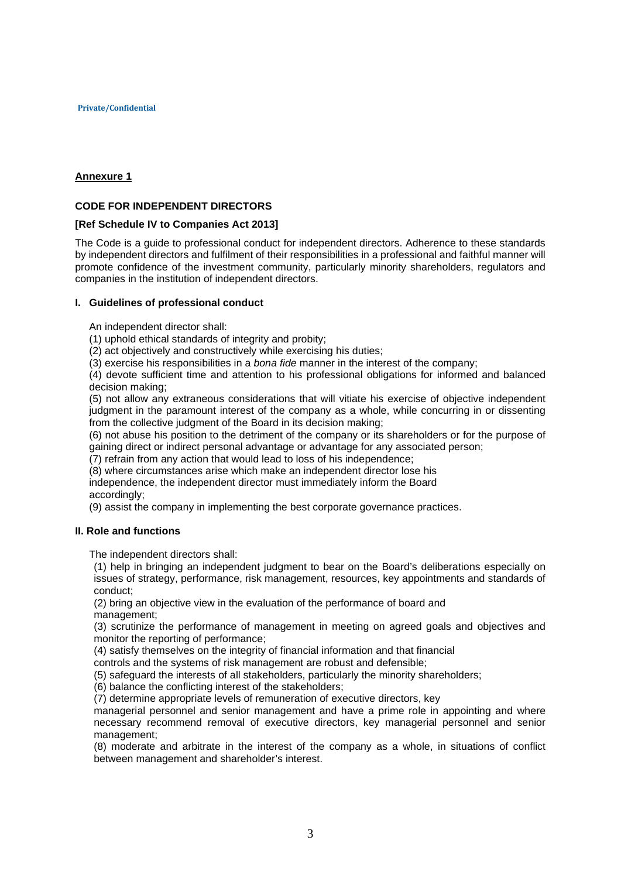## **Annexure 1**

## **CODE FOR INDEPENDENT DIRECTORS**

## **[Ref Schedule IV to Companies Act 2013]**

The Code is a guide to professional conduct for independent directors. Adherence to these standards by independent directors and fulfilment of their responsibilities in a professional and faithful manner will promote confidence of the investment community, particularly minority shareholders, regulators and companies in the institution of independent directors.

## **I. Guidelines of professional conduct**

An independent director shall:

(1) uphold ethical standards of integrity and probity;

(2) act objectively and constructively while exercising his duties;

(3) exercise his responsibilities in a *bona fide* manner in the interest of the company;

(4) devote sufficient time and attention to his professional obligations for informed and balanced decision making;

(5) not allow any extraneous considerations that will vitiate his exercise of objective independent judgment in the paramount interest of the company as a whole, while concurring in or dissenting from the collective judgment of the Board in its decision making;

(6) not abuse his position to the detriment of the company or its shareholders or for the purpose of gaining direct or indirect personal advantage or advantage for any associated person;

(7) refrain from any action that would lead to loss of his independence;

(8) where circumstances arise which make an independent director lose his

independence, the independent director must immediately inform the Board accordingly;

(9) assist the company in implementing the best corporate governance practices.

## **II. Role and functions**

The independent directors shall:

(1) help in bringing an independent judgment to bear on the Board's deliberations especially on issues of strategy, performance, risk management, resources, key appointments and standards of conduct;

(2) bring an objective view in the evaluation of the performance of board and management;

(3) scrutinize the performance of management in meeting on agreed goals and objectives and monitor the reporting of performance;

(4) satisfy themselves on the integrity of financial information and that financial

controls and the systems of risk management are robust and defensible;

(5) safeguard the interests of all stakeholders, particularly the minority shareholders;

(6) balance the conflicting interest of the stakeholders;

(7) determine appropriate levels of remuneration of executive directors, key

managerial personnel and senior management and have a prime role in appointing and where necessary recommend removal of executive directors, key managerial personnel and senior management;

(8) moderate and arbitrate in the interest of the company as a whole, in situations of conflict between management and shareholder's interest.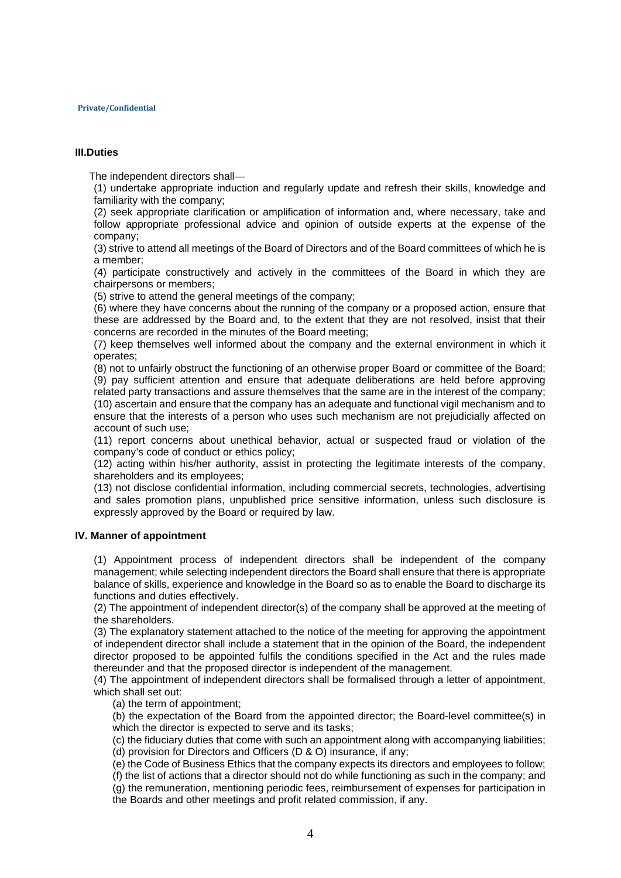## **III.Duties**

The independent directors shall—

(1) undertake appropriate induction and regularly update and refresh their skills, knowledge and familiarity with the company;

(2) seek appropriate clarification or amplification of information and, where necessary, take and follow appropriate professional advice and opinion of outside experts at the expense of the company;

(3) strive to attend all meetings of the Board of Directors and of the Board committees of which he is a member;

(4) participate constructively and actively in the committees of the Board in which they are chairpersons or members;

(5) strive to attend the general meetings of the company;

(6) where they have concerns about the running of the company or a proposed action, ensure that these are addressed by the Board and, to the extent that they are not resolved, insist that their concerns are recorded in the minutes of the Board meeting;

(7) keep themselves well informed about the company and the external environment in which it operates;

(8) not to unfairly obstruct the functioning of an otherwise proper Board or committee of the Board; (9) pay sufficient attention and ensure that adequate deliberations are held before approving related party transactions and assure themselves that the same are in the interest of the company; (10) ascertain and ensure that the company has an adequate and functional vigil mechanism and to ensure that the interests of a person who uses such mechanism are not prejudicially affected on account of such use;

(11) report concerns about unethical behavior, actual or suspected fraud or violation of the company's code of conduct or ethics policy;

(12) acting within his/her authority, assist in protecting the legitimate interests of the company, shareholders and its employees;

(13) not disclose confidential information, including commercial secrets, technologies, advertising and sales promotion plans, unpublished price sensitive information, unless such disclosure is expressly approved by the Board or required by law.

## **IV. Manner of appointment**

(1) Appointment process of independent directors shall be independent of the company management; while selecting independent directors the Board shall ensure that there is appropriate balance of skills, experience and knowledge in the Board so as to enable the Board to discharge its functions and duties effectively.

(2) The appointment of independent director(s) of the company shall be approved at the meeting of the shareholders.

(3) The explanatory statement attached to the notice of the meeting for approving the appointment of independent director shall include a statement that in the opinion of the Board, the independent director proposed to be appointed fulfils the conditions specified in the Act and the rules made thereunder and that the proposed director is independent of the management.

(4) The appointment of independent directors shall be formalised through a letter of appointment, which shall set out:

(a) the term of appointment;

(b) the expectation of the Board from the appointed director; the Board-level committee(s) in which the director is expected to serve and its tasks;

(c) the fiduciary duties that come with such an appointment along with accompanying liabilities; (d) provision for Directors and Officers (D & O) insurance, if any;

(e) the Code of Business Ethics that the company expects its directors and employees to follow;

(f) the list of actions that a director should not do while functioning as such in the company; and (g) the remuneration, mentioning periodic fees, reimbursement of expenses for participation in the Boards and other meetings and profit related commission, if any.